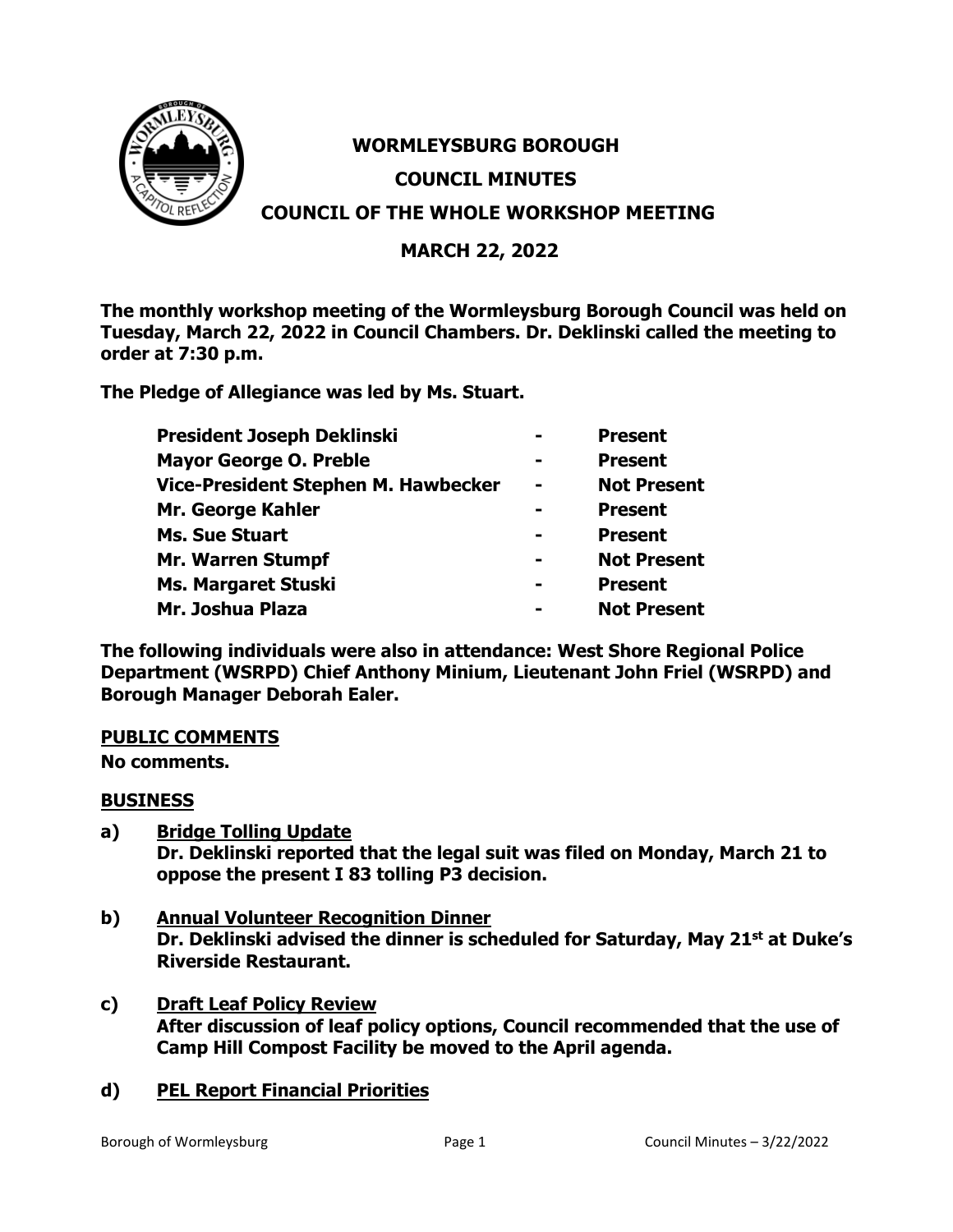

# **WORMLEYSBURG BOROUGH COUNCIL MINUTES COUNCIL OF THE WHOLE WORKSHOP MEETING**

## **MARCH 22, 2022**

**The monthly workshop meeting of the Wormleysburg Borough Council was held on Tuesday, March 22, 2022 in Council Chambers. Dr. Deklinski called the meeting to order at 7:30 p.m.**

**The Pledge of Allegiance was led by Ms. Stuart.**

| President Joseph Deklinski          |                | <b>Present</b>     |
|-------------------------------------|----------------|--------------------|
| <b>Mayor George O. Preble</b>       |                | <b>Present</b>     |
| Vice-President Stephen M. Hawbecker | $\blacksquare$ | <b>Not Present</b> |
| Mr. George Kahler                   | -              | <b>Present</b>     |
| <b>Ms. Sue Stuart</b>               | -              | <b>Present</b>     |
| <b>Mr. Warren Stumpf</b>            | $\blacksquare$ | <b>Not Present</b> |
| <b>Ms. Margaret Stuski</b>          | -              | <b>Present</b>     |
| Mr. Joshua Plaza                    | -              | <b>Not Present</b> |

**The following individuals were also in attendance: West Shore Regional Police Department (WSRPD) Chief Anthony Minium, Lieutenant John Friel (WSRPD) and Borough Manager Deborah Ealer.**

## **PUBLIC COMMENTS**

**No comments.**

## **BUSINESS**

- **a) Bridge Tolling Update Dr. Deklinski reported that the legal suit was filed on Monday, March 21 to oppose the present I 83 tolling P3 decision.**
- **b) Annual Volunteer Recognition Dinner Dr. Deklinski advised the dinner is scheduled for Saturday, May 21st at Duke's Riverside Restaurant.**
- **c) Draft Leaf Policy Review After discussion of leaf policy options, Council recommended that the use of Camp Hill Compost Facility be moved to the April agenda.**

## **d) PEL Report Financial Priorities**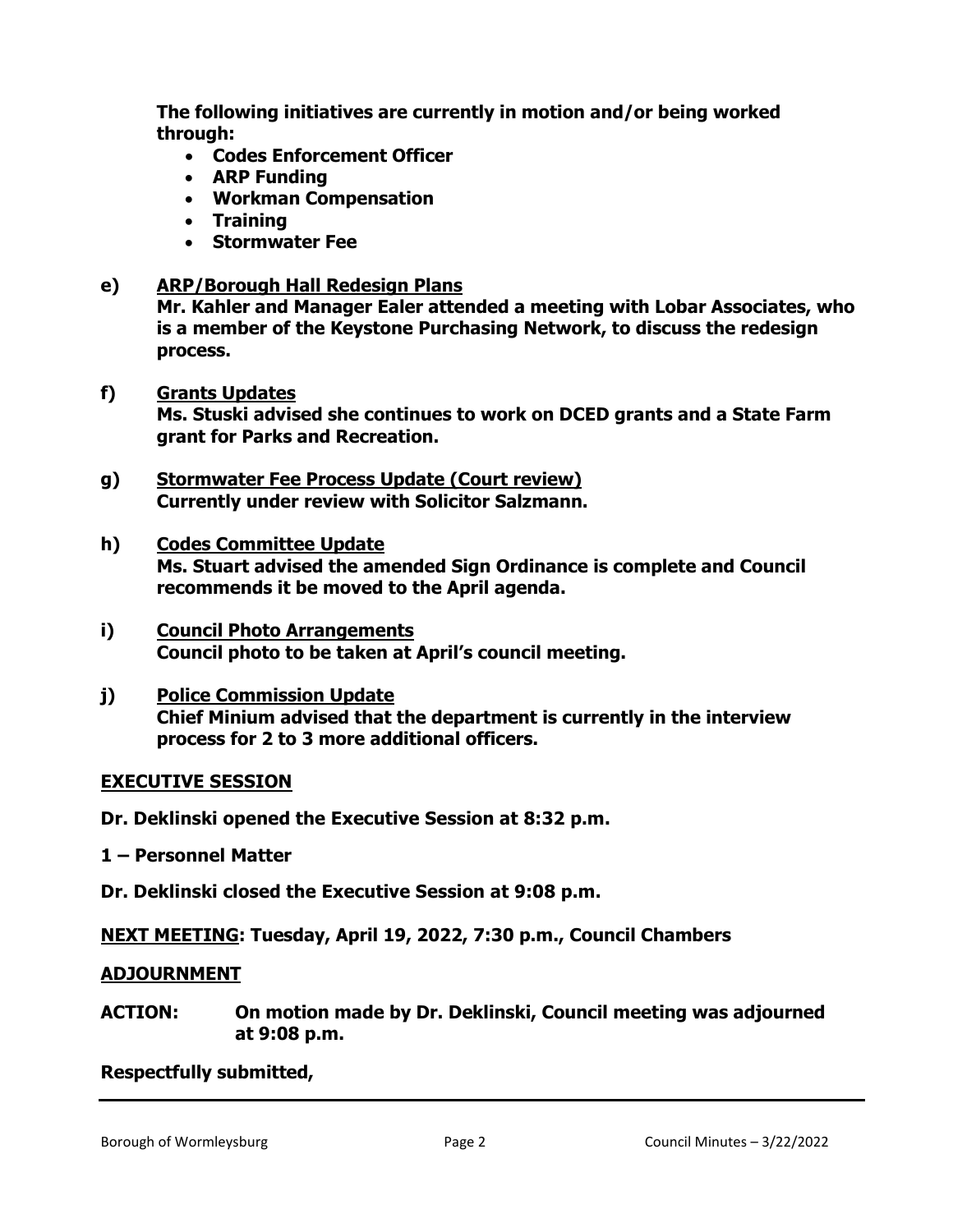**The following initiatives are currently in motion and/or being worked through:**

- **Codes Enforcement Officer**
- **ARP Funding**
- **Workman Compensation**
- **Training**
- **Stormwater Fee**
- **e) ARP/Borough Hall Redesign Plans**

**Mr. Kahler and Manager Ealer attended a meeting with Lobar Associates, who is a member of the Keystone Purchasing Network, to discuss the redesign process.** 

#### **f) Grants Updates**

**Ms. Stuski advised she continues to work on DCED grants and a State Farm grant for Parks and Recreation.**

- **g) Stormwater Fee Process Update (Court review) Currently under review with Solicitor Salzmann.**
- **h) Codes Committee Update Ms. Stuart advised the amended Sign Ordinance is complete and Council recommends it be moved to the April agenda.**
- **i) Council Photo Arrangements Council photo to be taken at April's council meeting.**

## **j) Police Commission Update Chief Minium advised that the department is currently in the interview process for 2 to 3 more additional officers.**

## **EXECUTIVE SESSION**

**Dr. Deklinski opened the Executive Session at 8:32 p.m.**

**1 – Personnel Matter**

**Dr. Deklinski closed the Executive Session at 9:08 p.m.**

**NEXT MEETING: Tuesday, April 19, 2022, 7:30 p.m., Council Chambers**

#### **ADJOURNMENT**

**ACTION: On motion made by Dr. Deklinski, Council meeting was adjourned at 9:08 p.m.** 

#### **Respectfully submitted,**